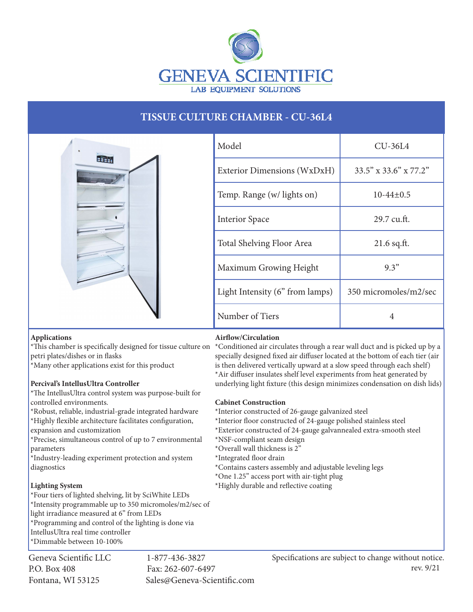

# **TISSUE CULTURE CHAMBER - CU-36L4**



| Model                           | $CU-36L4$                      |
|---------------------------------|--------------------------------|
| Exterior Dimensions (WxDxH)     | $33.5''$ x $33.6''$ x $77.2''$ |
| Temp. Range (w/ lights on)      | $10-44\pm0.5$                  |
| <b>Interior Space</b>           | 29.7 cu.ft.                    |
| Total Shelving Floor Area       | $21.6$ sq.ft.                  |
| Maximum Growing Height          | 9.3"                           |
| Light Intensity (6" from lamps) | 350 micromoles/m2/sec          |
| Number of Tiers                 | 4                              |

# **Applications**

petri plates/dishes or in flasks

\*Many other applications exist for this product

# **Percival's IntellusUltra Controller**

\*The IntellusUltra control system was purpose-built for controlled environments.

\*Robust, reliable, industrial-grade integrated hardware \*Highly flexible architecture facilitates configuration, expansion and customization

\*Precise, simultaneous control of up to 7 environmental parameters

\*Industry-leading experiment protection and system diagnostics

# **Lighting System**

\*Four tiers of lighted shelving, lit by SciWhite LEDs \*Intensity programmable up to 350 micromoles/m2/sec of light irradiance measured at 6" from LEDs \*Programming and control of the lighting is done via IntellusUltra real time controller \*Dimmable between 10-100%

Geneva Scientific LLC 1-877-436-3827 P.O. Box 408 Fax: 262-607-6497

Fontana, WI 53125 Sales@Geneva-Scientific.com

# **Airflow/Circulation**

\*This chamber is specifically designed for tissue culture on \*Conditioned air circulates through a rear wall duct and is picked up by a specially designed fixed air diffuser located at the bottom of each tier (air is then delivered vertically upward at a slow speed through each shelf) \*Air diffuser insulates shelf level experiments from heat generated by underlying light fixture (this design minimizes condensation on dish lids)

# **Cabinet Construction**

\*Interior constructed of 26-gauge galvanized steel

- \*Interior floor constructed of 24-gauge polished stainless steel
- \*Exterior constructed of 24-gauge galvannealed extra-smooth steel
- \*NSF-compliant seam design
- \*Overall wall thickness is 2"
- \*Integrated floor drain
- \*Contains casters assembly and adjustable leveling legs
- \*One 1.25" access port with air-tight plug
- \*Highly durable and reflective coating